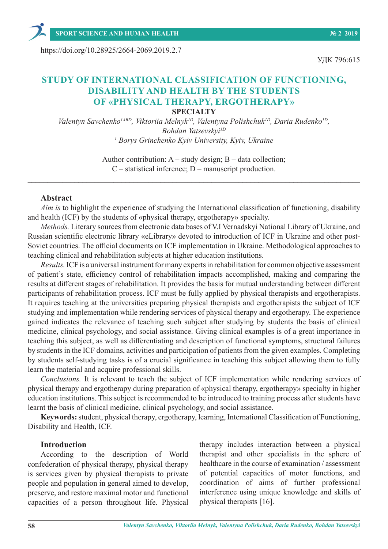**SPORT SCIENCE AND HUMAN HEALTH № 2 2019**

https://doi.org/10.28925/2664-2069.2019.2.7

# УДК 796:615

# **STUDY OF INTERNATIONAL CLASSIFICATION OF FUNCTIONING, DISABILITY AND HEALTH BY THE STUDENTS OF «PHYSICAL THERAPY, ERGOTHERAPY» SPECIALTY**

*Valentyn Savchenko1ABD, Viktoriia Melnyk1D, Valentyna Polishchuk1D, Daria Rudenko1D, Bohdan Yatsevskyi1D 1 Borys Grinchenko Kyiv University, Kyiv, Ukraine*

> Author contribution: A – study design; B – data collection; C – statistical inference; D – manuscript production.

 $\_$  , and the set of the set of the set of the set of the set of the set of the set of the set of the set of the set of the set of the set of the set of the set of the set of the set of the set of the set of the set of th

### **Abstract**

*Aim is* to highlight the experience of studying the International classification of functioning, disability and health (ICF) by the students of «physical therapy, ergotherapy» specialty.

*Methods.* Literary sources from electronic data bases of V.I Vernadskyi National Library of Ukraine, and Russian scientific electronic library «eLibrary» devoted to introduction of ICF in Ukraine and other post-Soviet countries. The official documents on ICF implementation in Ukraine. Methodological approaches to teaching clinical and rehabilitation subjects at higher education institutions.

*Results.* ICF is a universal instrument for many experts in rehabilitation for common objective assessment of patient's state, efficiency control of rehabilitation impacts accomplished, making and comparing the results at different stages of rehabilitation. It provides the basis for mutual understanding between different participants of rehabilitation process. ICF must be fully applied by physical therapists and ergotherapists. It requires teaching at the universities preparing physical therapists and ergotherapists the subject of ICF studying and implementation while rendering services of physical therapy and ergotherapy. The experience gained indicates the relevance of teaching such subject after studying by students the basis of clinical medicine, clinical psychology, and social assistance. Giving clinical examples is of a great importance in teaching this subject, as well as differentiating and description of functional symptoms, structural failures by students in the ICF domains, activities and participation of patients from the given examples. Completing by students self-studying tasks is of a crucial significance in teaching this subject allowing them to fully learn the material and acquire professional skills.

*Conclusions.* It is relevant to teach the subject of ICF implementation while rendering services of physical therapy and ergotherapy during preparation of «physical therapy, ergotherapy» specialty in higher education institutions. This subject is recommended to be introduced to training process after students have learnt the basis of clinical medicine, clinical psychology, and social assistance.

**Keywords:** student, physical therapy, ergotherapy, learning, International Classification of Functioning, Disability and Health, ICF.

### **Introduction**

According to the description of World confederation of physical therapy, physical therapy is services given by physical therapists to private people and population in general aimed to develop, preserve, and restore maximal motor and functional capacities of a person throughout life. Physical

therapy includes interaction between a physical therapist and other specialists in the sphere of healthcare in the course of examination / assessment of potential capacities of motor functions, and coordination of aims of further professional interference using unique knowledge and skills of physical therapists [16].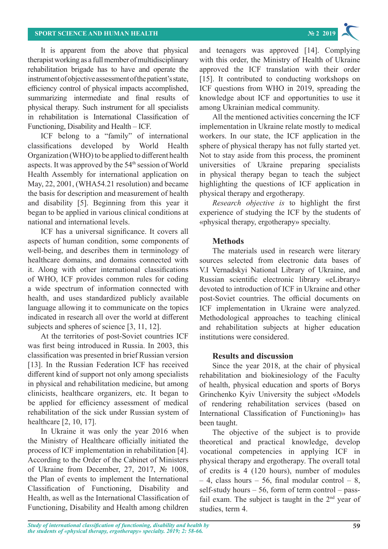It is apparent from the above that physical therapist working as a full member of multidisciplinary rehabilitation brigade has to have and operate the instrument of objective assessment of the patient's state, efficiency control of physical impacts accomplished, summarizing intermediate and final results of physical therapy. Such instrument for all specialists in rehabilitation is International Classification of Functioning, Disability and Health – ICF.

ICF belong to a "family" of international classifications developed by World Health Organization (WHO) to be applied to different health aspects. It was approved by the 54<sup>th</sup> session of World Health Assembly for international application on May, 22, 2001, (WHA54.21 resolution) and became the basis for description and measurement of health and disability [5]. Beginning from this year it began to be applied in various clinical conditions at national and international levels.

ICF has a universal significance. It covers all aspects of human condition, some components of well-being, and describes them in terminology of healthcare domains, and domains connected with it. Along with other international classifications of WHO, ICF provides common rules for coding a wide spectrum of information connected with health, and uses standardized publicly available language allowing it to communicate on the topics indicated in research all over the world at different subjects and spheres of science [3, 11, 12].

At the territories of post-Soviet countries ICF was first being introduced in Russia. In 2003, this classification was presented in brief Russian version [13]. In the Russian Federation ICF has received different kind of support not only among specialists in physical and rehabilitation medicine, but among clinicists, healthcare organizers, etc. It began to be applied for efficiency assessment of medical rehabilitation of the sick under Russian system of healthcare [2, 10, 17].

In Ukraine it was only the year 2016 when the Ministry of Healthcare officially initiated the process of ICF implementation in rehabilitation [4]. According to the Order of the Cabinet of Ministers of Ukraine from December, 27, 2017, № 1008, the Plan of events to implement the International Classification of Functioning, Disability and Health, as well as the International Classification of Functioning, Disability and Health among children

and teenagers was approved [14]. Complying with this order, the Ministry of Health of Ukraine approved the ICF translation with their order [15]. It contributed to conducting workshops on ICF questions from WHO in 2019, spreading the knowledge about ICF and opportunities to use it among Ukrainian medical community.

All the mentioned activities concerning the ICF implementation in Ukraine relate mostly to medical workers. In our state, the ICF application in the sphere of physical therapy has not fully started yet. Not to stay aside from this process, the prominent universities of Ukraine preparing specialists in physical therapy began to teach the subject highlighting the questions of ICF application in physical therapy and ergotherapy.

*Research objective is* to highlight the first experience of studying the ICF by the students of «physical therapy, ergotherapy» specialty.

# **Methods**

The materials used in research were literary sources selected from electronic data bases of V.I Vernadskyi National Library of Ukraine, and Russian scientific electronic library «eLibrary» devoted to introduction of ICF in Ukraine and other post-Soviet countries. The official documents on ICF implementation in Ukraine were analyzed. Methodological approaches to teaching clinical and rehabilitation subjects at higher education institutions were considered.

# **Results and discussion**

Since the year 2018, at the chair of physical rehabilitation and biokinesiology of the Faculty of health, physical education and sports of Borys Grinchenko Kyiv University the subject «Models of rendering rehabilitation services (based on International Classification of Functioning)» has been taught.

The objective of the subject is to provide theoretical and practical knowledge, develop vocational competencies in applying ICF in physical therapy and ergotherapy. The overall total of credits is 4 (120 hours), number of modules – 4, class hours – 56, final modular control – 8, self-study hours  $-56$ , form of term control  $-$  passfail exam. The subject is taught in the  $2<sup>nd</sup>$  year of studies, term 4.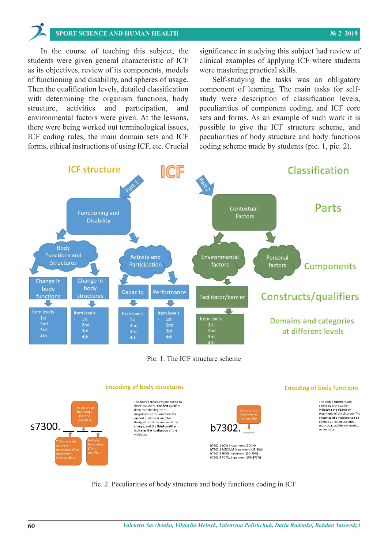# SPORT SCIENCE AND HUMAN HEALTH **56, form of the subject is taught in the subject is taught in the subject is taught in the subject is taught in the subject is taught in the subject in the subject is taught in the 2nd year**  $\sum_{n=1}^{\infty}$

students were given general characteristic of ICF clinical examples of applying ICF where students Then the qualification levels, detailed classification component of learning. The main tasks for selfstructure, activities and participation, and peculiarities of component coding, and ICF core ICF coding rules, the main domain sets and ICF peculiarities of body structure and body functions In the course of teaching this subject, the students were given general characteristic of ICF as its objectives, review of its components, models were mastering practical skills. of functioning and disability, and spheres of usage. Self-studying the tasks was an obligatory Then the qualification levels, detailed classification with determining the organism functions, body study were description of classification levels, structure, activities and participation, and environmental factors were given. At the lessons, there were being worked out terminological issues, possible to give the ICF structure scheme, and ICF coding rules, the main domain sets and ICF forms, ethical instructions of using ICF, etc. Crucial coding scheme made by students (pic. 1, pic. 2).

1 the course of teaching this subject, the significance in studying this subject had review of were mastering practical skills.

Self-studying the tasks was an obligatory study were description of classification levels, onmental factors were given. At the lessons, sets and forms. As an example of such work it is possible to give the ICF structure scheme, and coding scheme made by students (pic. 1, pic. 2).



Pic. 1. The ICF structure scheme Pic. 1. The ICF structure scheme



Pic. 2. Peculiarities of body structure and body functions coding in ICF

Completing this task the students have created the tables containing domain descriptions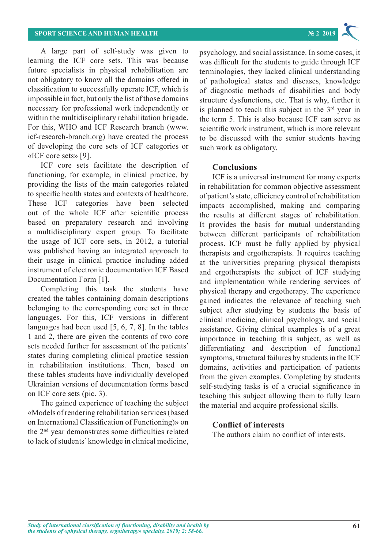A large part of self-study was given to learning the ICF core sets. This was because future specialists in physical rehabilitation are not obligatory to know all the domains offered in classification to successfully operate ICF, which is impossible in fact, but only the list of those domains necessary for professional work independently or within the multidisciplinary rehabilitation brigade. For this, WHO and ICF Research branch (www. icf-research-branch.org) have created the process of developing the core sets of ICF categories or «ICF core sets» [9].

ICF core sets facilitate the description of functioning, for example, in clinical practice, by providing the lists of the main categories related to specific health states and contexts of healthcare. These ICF categories have been selected out of the whole ICF after scientific process based on preparatory research and involving a multidisciplinary expert group. To facilitate the usage of ICF core sets, in 2012, a tutorial was published having an integrated approach to their usage in clinical practice including added instrument of electronic documentation ICF Based Documentation Form [1].

Completing this task the students have created the tables containing domain descriptions belonging to the corresponding core set in three languages. For this, ICF versions in different languages had been used [5, 6, 7, 8]. In the tables 1 and 2, there are given the contents of two core sets needed further for assessment of the patients' states during completing clinical practice session in rehabilitation institutions. Then, based on these tables students have individually developed Ukrainian versions of documentation forms based on ICF core sets (pic. 3).

The gained experience of teaching the subject «Models of rendering rehabilitation services (based on International Classification of Functioning)» on the 2nd year demonstrates some difficulties related to lack of students' knowledge in clinical medicine,

psychology, and social assistance. In some cases, it was difficult for the students to guide through ICF terminologies, they lacked clinical understanding of pathological states and diseases, knowledge of diagnostic methods of disabilities and body structure dysfunctions, etc. That is why, further it is planned to teach this subject in the  $3<sup>rd</sup>$  year in the term 5. This is also because ICF can serve as scientific work instrument, which is more relevant to be discussed with the senior students having such work as obligatory.

## **Conclusions**

ICF is a universal instrument for many experts in rehabilitation for common objective assessment of patient's state, efficiency control of rehabilitation impacts accomplished, making and comparing the results at different stages of rehabilitation. It provides the basis for mutual understanding between different participants of rehabilitation process. ICF must be fully applied by physical therapists and ergotherapists. It requires teaching at the universities preparing physical therapists and ergotherapists the subject of ICF studying and implementation while rendering services of physical therapy and ergotherapy. The experience gained indicates the relevance of teaching such subject after studying by students the basis of clinical medicine, clinical psychology, and social assistance. Giving clinical examples is of a great importance in teaching this subject, as well as differentiating and description of functional symptoms, structural failures by students in the ICF domains, activities and participation of patients from the given examples. Completing by students self-studying tasks is of a crucial significance in teaching this subject allowing them to fully learn the material and acquire professional skills.

# **Conflict of interests**

The authors claim no conflict of interests.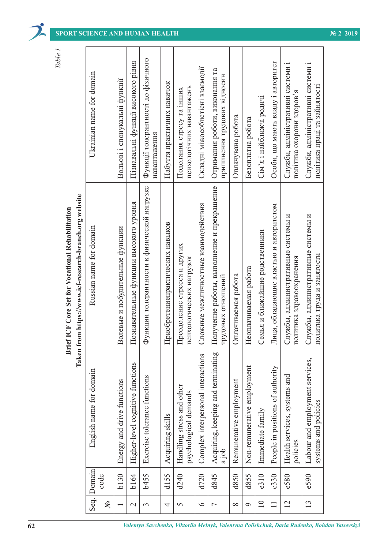|           | laken from https://www.icf-research-branch.org website |  |
|-----------|--------------------------------------------------------|--|
| or domain | Russian name for domain                                |  |
|           |                                                        |  |

| Seq. | Domain<br>d155<br>d720<br>b <sub>130</sub><br>b164<br>b455<br>d240<br>d845<br>d850<br>d855<br>e310<br>e330<br>code | Taken fr<br>Acquiring, keeping and terminating<br>Complex interpersonal interactions<br>Higher-level cognitive functions<br>Non-remunerative employment<br>People in positions of authority<br>English name for domain<br>Exercise tolerance functions<br>Remunerative employment<br>Energy and drive functions<br>Handling stress and other<br>psychological demands<br>Immediate family<br>Acquiring skills<br>ajob | Получение работы, выполнение и прекращение<br>Функции толерантности к физической нагрузке<br>om https://www.icf-research-branch.org website<br>Познавательные функции высокого уровня<br>Сложные межличностные взаимодействия<br>Лица, обладающие властью и авторитетом<br><b>Brief ICF Core Set for Vocational Rehabilitation</b><br>Приобретениепрактических навыков<br>Russian name for domain<br>Волевые и побудительные функции<br>Семья и ближайшие родственники<br>Преодоление стресса и других<br>психологических нагрузок<br>Неоплачиваемая работа<br>Оплачиваемая работа<br>трудовых отношений | Функції толерантності до фізичного<br>Пізнавальні функції високого рівня<br>Особи, що мають владу і авторитет<br>Складні міжособистісні взаємодії<br>Отримання роботи, виконання та<br>Ukrainian name for domain<br>припинення трудових відносин<br>Вольові і спонукальні функції<br>Набуття практичних навичок<br>психологічних навантажень<br>Подолання стресу та інших<br>Сім'я і найближчі родичі<br>Оплачувана робота<br>Безоплатна робота<br>навантаження |
|------|--------------------------------------------------------------------------------------------------------------------|-----------------------------------------------------------------------------------------------------------------------------------------------------------------------------------------------------------------------------------------------------------------------------------------------------------------------------------------------------------------------------------------------------------------------|----------------------------------------------------------------------------------------------------------------------------------------------------------------------------------------------------------------------------------------------------------------------------------------------------------------------------------------------------------------------------------------------------------------------------------------------------------------------------------------------------------------------------------------------------------------------------------------------------------|-----------------------------------------------------------------------------------------------------------------------------------------------------------------------------------------------------------------------------------------------------------------------------------------------------------------------------------------------------------------------------------------------------------------------------------------------------------------|
| 12   | e580                                                                                                               | Health services, systems and<br>policies                                                                                                                                                                                                                                                                                                                                                                              | Службы, административные системы и<br>политика здравоохранения                                                                                                                                                                                                                                                                                                                                                                                                                                                                                                                                           | Служби, адміністративні системи і<br>політика охорони здоров'я                                                                                                                                                                                                                                                                                                                                                                                                  |
| 13   | e590                                                                                                               | Labour and employment services,<br>systems and policies                                                                                                                                                                                                                                                                                                                                                               | Службы, административные системы и<br>политика труда и занятости                                                                                                                                                                                                                                                                                                                                                                                                                                                                                                                                         | Служби, адміністративні системи і<br>політика праці та зайнятості                                                                                                                                                                                                                                                                                                                                                                                               |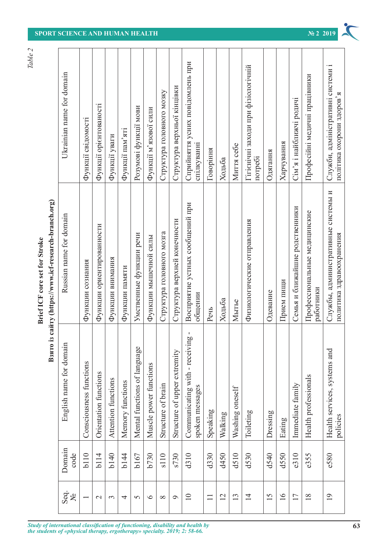|                              |                  | Взято                                                       | is caйry (https://www.icf-research-branch.org)<br><b>Brief ICF</b> core set for Stroke | Table 2                                                        |
|------------------------------|------------------|-------------------------------------------------------------|----------------------------------------------------------------------------------------|----------------------------------------------------------------|
| Seq.<br>$\tilde{\mathbf{x}}$ | Domain<br>code   | English name for domain                                     | Russian name for domain                                                                | Ukrainian name for domain                                      |
|                              | b <sub>110</sub> | Consciousness functions                                     | Функции сознания                                                                       | Функції свідомості                                             |
| $\sim$                       | b114             | Orientation functions                                       | Функции ориентированности                                                              | Функції орієнтованості                                         |
| $\sim$                       | b <sub>140</sub> | Attention functions                                         | Функции внимания                                                                       | Функції уваги                                                  |
| 4                            | <b>b144</b>      | Memory functions                                            | Функции памяти                                                                         | Функції пам'яті                                                |
| $\sim$                       | b167             | Mental functions of language                                | Умственные функции речи                                                                | Розумові функції мови                                          |
| $\circ$                      | b730             | Muscle power functions                                      | Функции мышечной силы                                                                  | Функції м'язової сили                                          |
| $\infty$                     | s110             | Structure of brain                                          | Структура головного мозга                                                              | Структура головного мозку                                      |
| $\circ$                      | s730             | Structure of upper extremity                                | Структура верхней конечности                                                           | Структура верхньої кінцівки                                    |
| 10                           | d310             | т<br>ġΦ<br>Communicating with - receivin<br>spoken messages | Восприятие устных сообщений при<br>общении                                             | Сприйняття усних повідомлень при<br>спілкуванні                |
| $\Box$                       | d330             | Speaking                                                    | Peup                                                                                   | Говоріння                                                      |
| 12                           | d450             | Walking                                                     | Ходьба                                                                                 | Ходьба                                                         |
| 13                           | d510             | Washing oneself                                             | Мытье                                                                                  | Миття себе                                                     |
| $\overline{4}$               | d530             | Toileting                                                   | Физиологические отправления                                                            | Гігієнічні заходи при фізіологічній<br>потребі                 |
| 15                           | d540             | Dressing                                                    | Одевание                                                                               | Одягання                                                       |
| 16                           | d550             | Eating                                                      | Прием пищи                                                                             | Харчування                                                     |
| 17                           | e310             | Immediate family                                            | Семья и ближайшие родственники                                                         | Сім'я і найближчі родичі                                       |
| 18                           | e355             | Health professionals                                        | Профессиональные медицинские<br>работники                                              | Професійні медичні працівники                                  |
| 19                           | e580             | Health services, systems and<br>policies                    | Службы, административные системы и<br>политика здравоохранения                         | Служби, адміністративні системи і<br>політика охорони здоров'я |
|                              |                  |                                                             |                                                                                        |                                                                |

*Study of international classification of functioning, disability and health by* **63**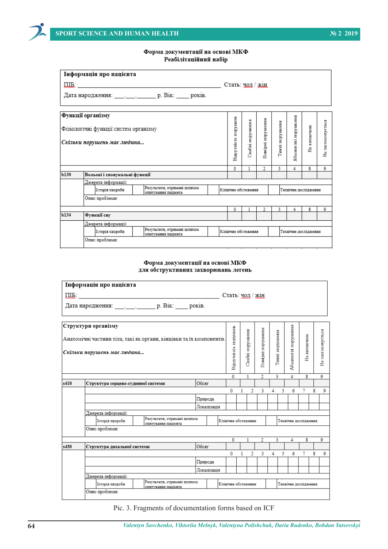

### Форма документації на основі МКФ Реабілітаційний набір

|                                                                      | Інформація про пацієнта                                               |                                                    |  |                      |                     |                   |                 |                      |              |                   |  |
|----------------------------------------------------------------------|-----------------------------------------------------------------------|----------------------------------------------------|--|----------------------|---------------------|-------------------|-----------------|----------------------|--------------|-------------------|--|
|                                                                      | $\Pi$ <b>IIIE</b> :                                                   |                                                    |  |                      | Стать: чол / жін    |                   |                 |                      |              |                   |  |
| Дата народження: _________________ р. Вік: _____ років.              |                                                                       |                                                    |  |                      |                     |                   |                 |                      |              |                   |  |
|                                                                      | Функції організму                                                     |                                                    |  |                      |                     |                   |                 |                      |              |                   |  |
| Фізіологічні функції систем організму<br>Скільки порушень має людина |                                                                       |                                                    |  | Відсутність порушень | Слабкі порушення    | Помірні порушення | Тяжкі порушення | Абсолюткі порушення  | Не визначене | Не застосовується |  |
|                                                                      |                                                                       |                                                    |  |                      |                     |                   |                 |                      |              |                   |  |
|                                                                      |                                                                       |                                                    |  | 0                    | 1                   | 2                 | 3.              | 4                    | 8            | 9                 |  |
| Ы30                                                                  | Вольові і спонукальні функції                                         |                                                    |  |                      |                     |                   |                 |                      |              |                   |  |
|                                                                      | Джерела інформації:                                                   |                                                    |  |                      |                     |                   |                 |                      |              |                   |  |
|                                                                      | Історія хвороби                                                       | Результати, отримані шляхом<br>опитування пацієнта |  |                      | Клінічне обстеження |                   |                 | Технічне дослідження |              |                   |  |
|                                                                      | Опис проблеми:                                                        |                                                    |  |                      |                     |                   |                 |                      |              |                   |  |
|                                                                      |                                                                       |                                                    |  | 0                    |                     | $\overline{2}$    | 3.              | 4                    | 8            | 9                 |  |
| Ы34                                                                  | Функції сну                                                           |                                                    |  |                      |                     |                   |                 |                      |              |                   |  |
|                                                                      | Джерела інформації:                                                   |                                                    |  |                      |                     |                   |                 |                      |              |                   |  |
|                                                                      | Результати, отримані шляхом<br>Історія хвороби<br>опитування пацієнта |                                                    |  | Клінічне обстеження  |                     |                   |                 | Технічне дослідження |              |                   |  |
|                                                                      | Опис проблеми:                                                        |                                                    |  |                      |                     |                   |                 |                      |              |                   |  |

### Форма документації на основі МКФ для обструктивних захворювань легень

|                                                          | Інформація про пацієнта                            |                                                                     |             |             |                      |   |                  |                   |                 |                     |                      |   |                  |
|----------------------------------------------------------|----------------------------------------------------|---------------------------------------------------------------------|-------------|-------------|----------------------|---|------------------|-------------------|-----------------|---------------------|----------------------|---|------------------|
|                                                          | $\Pi$ <b>IDE</b> :                                 |                                                                     |             |             |                      |   |                  | Стать: чол / жін  |                 |                     |                      |   |                  |
| Дата народження: __________________ р. Вік: _____ років. |                                                    |                                                                     |             |             |                      |   |                  |                   |                 |                     |                      |   |                  |
|                                                          | Структури організму<br>Скільки порушень має людина | Анатомічні частини тіла, такі як органи, кінцівки та їх компоненти. |             |             | Зідсутність порушень |   | Слабкі порушення | Помірні порушення | Тяжкі порушення | Абсолютні порушення | Не визначене         |   | Незастосовується |
|                                                          |                                                    |                                                                     |             |             |                      |   |                  |                   |                 |                     |                      |   |                  |
|                                                          |                                                    |                                                                     |             |             | 0                    |   |                  | 2                 | 3<br>4          |                     | 8                    |   | 9                |
| s410                                                     | Структура серцево-судинної системи                 | Обсяг                                                               |             |             |                      |   |                  |                   |                 |                     |                      |   |                  |
|                                                          |                                                    |                                                                     |             |             | 0                    | 1 | 2                | 3                 | 4               | 5<br>6              | 7                    | 8 | 9                |
|                                                          |                                                    |                                                                     | Природа     |             |                      |   |                  |                   |                 |                     |                      |   |                  |
|                                                          |                                                    |                                                                     | Локалізація |             |                      |   |                  |                   |                 |                     |                      |   |                  |
|                                                          | Джерела інформації:                                |                                                                     |             |             |                      |   |                  |                   |                 |                     |                      |   |                  |
|                                                          | Історія хвороби                                    | Результати, отримані шляхом<br>опитування пацієнта                  |             |             | Клінічне обстеження  |   |                  |                   |                 |                     | Технічне посліпження |   |                  |
|                                                          | Опис проблеми:                                     |                                                                     |             |             |                      |   |                  |                   |                 |                     |                      |   |                  |
|                                                          |                                                    |                                                                     |             |             | 0                    |   | 1                | 2                 | 3               | 4                   | 8                    |   | 9                |
| s430                                                     | Структура дихальної системи                        |                                                                     | Обсяг       |             |                      |   |                  |                   |                 |                     |                      |   |                  |
|                                                          |                                                    |                                                                     |             |             | 0                    | 1 | 2                | 3                 | 4               | 5<br>6              | 7                    | 8 | 9                |
|                                                          |                                                    |                                                                     | Природа     |             |                      |   |                  |                   |                 |                     |                      |   |                  |
|                                                          |                                                    |                                                                     |             | Локалізація |                      |   |                  |                   |                 |                     |                      |   |                  |
|                                                          | Джерела інформації:                                |                                                                     |             |             |                      |   |                  |                   |                 |                     |                      |   |                  |
|                                                          | Історія хвороби                                    | Результати, отримані шляхом<br>опитування пацієнта                  |             |             | Клінічне обстеження  |   |                  |                   |                 |                     | Технічне дослідження |   |                  |
|                                                          | Опис проблеми:                                     |                                                                     |             |             |                      |   |                  |                   |                 |                     |                      |   |                  |

Pic. 3. Fragments of documentation forms based on ICF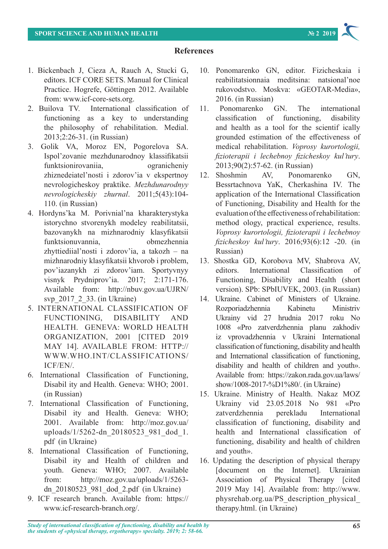## **References**

- 1. Bickenbach J, Cieza A, Rauch A, Stucki G, editors. ICF CORE SETS. Manual for Clinical Practice. Hogrefe, Göttingen 2012. Available from: www.icf-core-sets.org.
- 2. Builova TV. International classification of functioning as a key to understanding the philosophy of rehabilitation. Medial. 2013;2:26-31. (in Russian)
- 3. Golik VA, Moroz EN, Pogorelova SA. Іspol'zovanie mezhdunarodnoy klassifikatsii funktsionirovaniia, ogranicheniy zhiznedeiatel'nosti i zdorov'ia v ekspertnoy nevrologicheskoy praktike. *Mezhdunarodnyy nevrologicheskiy zhurnal*. 2011;5(43):104- 110. (in Russian)
- 4. Hordyns'ka M. Porivnial'na kharakterystyka istorychno stvorenykh modeley reabilitatsii, bazovanykh na mizhnarodniy klasyfikatsii funktsionuvannia, obmezhennia zhyttiediial'nosti i zdorov'ia, a takozh – na mizhnarodniy klasyfikatsii khvorob i problem, pov'iazanykh zi zdorov'iam. Sportyvnyy visnyk Prydniprov'ia. 2017; 2:171-176. Available from: http://nbuv.gov.ua/UJRN/ svp\_2017\_2\_33. (in Ukraine)
- 5. INTERNATIONAL CLASSIFICATION OF FUNCTIONING, DISABILITY AND HEALTH. GENEVA: WORLD HEALTH ORGANIZATION, 2001 [CITED 2019 MAY 14]. AVAILABLE FROM: HTTP:// WWW.WHO.INT/CLASSIFICATIONS/ ICF/EN/.
- 6. International Classification of Functioning, Disabil ity and Health. Geneva: WHO; 2001. (in Russian)
- 7. International Classification of Functioning, Disabil ity and Health. Geneva: WHO; 2001. Available from: http://moz.gov.ua/ uploads/1/5262-dn 20180523 981 dod 1. pdf (in Ukraine)
- 8. International Classification of Functioning, Disabil ity and Health of children and youth. Geneva: WHO; 2007. Available from: http://moz.gov.ua/uploads/1/5263 dn\_20180523\_981\_dod\_2.pdf (in Ukraine)
- 9. ICF research branch. Available from: https:// www.icf-research-branch.org/.
- 10. Ponomarenko GN, editor. Fizicheskaia i reabilitatsionnaia meditsina: natsional'noe rukovodstvo. Moskva: «GEOTAR-Media», 2016. (in Russian)
- 11. Ponomarenko GN. The international classification of functioning, disability and health as a tool for the scientif ically grounded estimation of the effectiveness of medical rehabilitation. *Voprosy kurortologii, fizioterapii i lechebnoy fizicheskoy kul'tury*. 2013;90(2):57-62. (in Russian)
- 12. Shoshmin AV, Ponomarenko GN, Bessrtachnova YaK, Cherkashina IV. The application of the International Classification of Functioning, Disability and Health for the evaluation of the effectiveness of rehabilitation: method ology, practical experience, results. *Voprosy kurortologii, fizioterapii i lechebnoy fizicheskoy kul'tury*. 2016;93(6):12 -20. (in Russian)
- 13. Shostka GD, Korobova MV, Shabrova AV, editors. International Classification of Functioning, Disability and Health (short version). SPb: SPbIUVEK, 2003. (in Russian)
- 14. Ukraine. Cabinet of Ministers of Ukraine. Rozporiadzhennia Kabinetu Ministriv Ukrainy vid 27 hrudnia 2017 roku No 1008 «Pro zatverdzhennia planu zakhodiv iz vprovadzhennia v Ukraini International classification of functioning, disability and health and International classification of functioning, disability and health of children and youth». Available from: https://zakon.rada.gov.ua/laws/ show/1008-2017-%D1%80/. (in Ukraine)
- 15. Ukraine. Ministry of Health. Nakaz MOZ Ukrainy vid 23.05.2018 No 981 «Pro zatverdzhennia perekladu International classification of functioning, disability and health and International classification of functioning, disability and health of children and youth».
- 16. Updating the description of physical therapy [document on the Internet]. Ukrainian Association of Physical Therapy [cited 2019 May 14]. Available from: http://www. physrehab.org.ua/PS\_description\_physical\_ therapy.html. (in Ukraine)